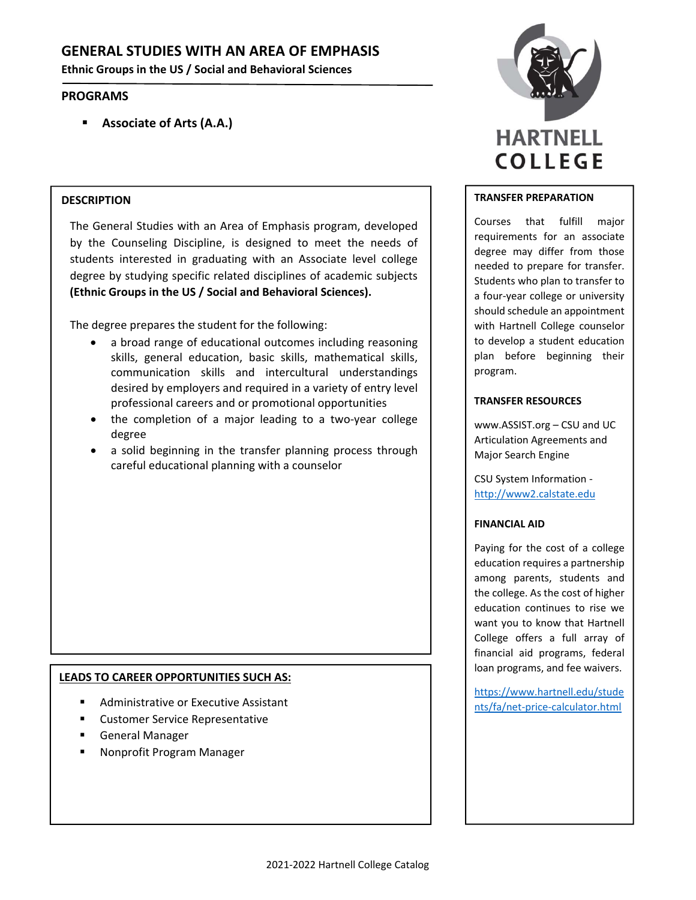# **GENERAL STUDIES WITH AN AREA OF EMPHASIS**

**Ethnic Groups in the US / Social and Behavioral Sciences**

## **PROGRAMS**

**Associate of Arts (A.A.)**

### **DESCRIPTION**

The General Studies with an Area of Emphasis program, developed by the Counseling Discipline, is designed to meet the needs of students interested in graduating with an Associate level college degree by studying specific related disciplines of academic subjects **(Ethnic Groups in the US / Social and Behavioral Sciences).**

The degree prepares the student for the following:

- a broad range of educational outcomes including reasoning skills, general education, basic skills, mathematical skills, communication skills and intercultural understandings desired by employers and required in a variety of entry level professional careers and or promotional opportunities
- the completion of a major leading to a two‐year college degree
- a solid beginning in the transfer planning process through careful educational planning with a counselor

## **LEADS TO CAREER OPPORTUNITIES SUCH AS:**

- Administrative or Executive Assistant
- Customer Service Representative
- General Manager
- Nonprofit Program Manager



#### **TRANSFER PREPARATION**

Courses that fulfill major requirements for an associate degree may differ from those needed to prepare for transfer. Students who plan to transfer to a four‐year college or university should schedule an appointment with Hartnell College counselor to develop a student education plan before beginning their program.

#### **TRANSFER RESOURCES**

www.ASSIST.org – CSU and UC Articulation Agreements and Major Search Engine

CSU System Information ‐ http://www2.calstate.edu

#### **FINANCIAL AID**

Paying for the cost of a college education requires a partnership among parents, students and the college. As the cost of higher education continues to rise we want you to know that Hartnell College offers a full array of financial aid programs, federal loan programs, and fee waivers.

https://www.hartnell.edu/stude nts/fa/net‐price‐calculator.html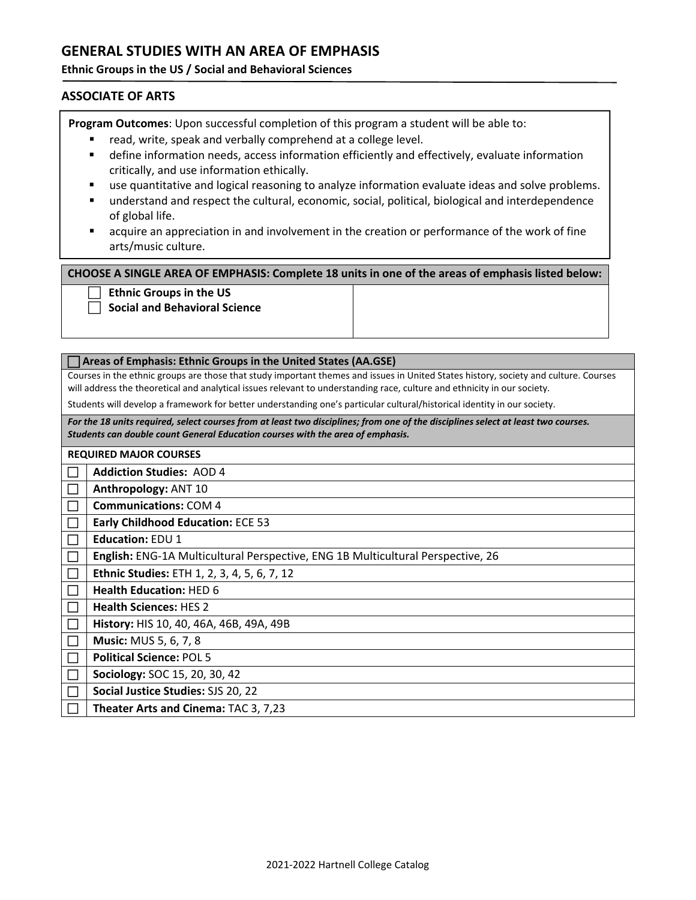## **GENERAL STUDIES WITH AN AREA OF EMPHASIS**

## **Ethnic Groups in the US / Social and Behavioral Sciences**

## **ASSOCIATE OF ARTS**

**Program Outcomes**: Upon successful completion of this program a student will be able to:

- read, write, speak and verbally comprehend at a college level.
- define information needs, access information efficiently and effectively, evaluate information critically, and use information ethically.
- use quantitative and logical reasoning to analyze information evaluate ideas and solve problems.
- understand and respect the cultural, economic, social, political, biological and interdependence of global life.
- acquire an appreciation in and involvement in the creation or performance of the work of fine arts/music culture.

**CHOOSE A SINGLE AREA OF EMPHASIS: Complete 18 units in one of the areas of emphasis listed below:**

**Ethnic Groups in the US**

**Social and Behavioral Science**

#### **Areas of Emphasis: Ethnic Groups in the United States (AA.GSE)**

Courses in the ethnic groups are those that study important themes and issues in United States history, society and culture. Courses will address the theoretical and analytical issues relevant to understanding race, culture and ethnicity in our society.

Students will develop a framework for better understanding one's particular cultural/historical identity in our society.

For the 18 units required, select courses from at least two disciplines; from one of the disciplines select at least two courses. *Students can double count General Education courses with the area of emphasis.*

| <b>REQUIRED MAJOR COURSES</b> |                                                                                 |  |
|-------------------------------|---------------------------------------------------------------------------------|--|
|                               | <b>Addiction Studies: AOD 4</b>                                                 |  |
|                               | Anthropology: ANT 10                                                            |  |
|                               | <b>Communications: COM 4</b>                                                    |  |
|                               | <b>Early Childhood Education: ECE 53</b>                                        |  |
|                               | <b>Education: EDU 1</b>                                                         |  |
|                               | English: ENG-1A Multicultural Perspective, ENG 1B Multicultural Perspective, 26 |  |
|                               | Ethnic Studies: ETH 1, 2, 3, 4, 5, 6, 7, 12                                     |  |
|                               | <b>Health Education: HED 6</b>                                                  |  |
|                               | <b>Health Sciences: HES 2</b>                                                   |  |
|                               | <b>History: HIS 10, 40, 46A, 46B, 49A, 49B</b>                                  |  |
|                               | <b>Music: MUS 5, 6, 7, 8</b>                                                    |  |
|                               | <b>Political Science: POL 5</b>                                                 |  |
|                               | <b>Sociology: SOC 15, 20, 30, 42</b>                                            |  |
|                               | Social Justice Studies: SJS 20, 22                                              |  |
|                               | Theater Arts and Cinema: TAC 3, 7,23                                            |  |